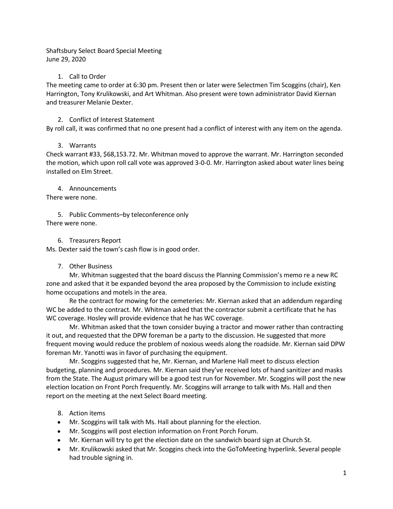Shaftsbury Select Board Special Meeting June 29, 2020

#### 1. Call to Order

The meeting came to order at 6:30 pm. Present then or later were Selectmen Tim Scoggins (chair), Ken Harrington, Tony Krulikowski, and Art Whitman. Also present were town administrator David Kiernan and treasurer Melanie Dexter.

## 2. Conflict of Interest Statement

By roll call, it was confirmed that no one present had a conflict of interest with any item on the agenda.

## 3. Warrants

Check warrant #33, \$68,153.72. Mr. Whitman moved to approve the warrant. Mr. Harrington seconded the motion, which upon roll call vote was approved 3-0-0. Mr. Harrington asked about water lines being installed on Elm Street.

#### 4. Announcements

There were none.

5. Public Comments–by teleconference only There were none.

## 6. Treasurers Report

Ms. Dexter said the town's cash flow is in good order.

#### 7. Other Business

Mr. Whitman suggested that the board discuss the Planning Commission's memo re a new RC zone and asked that it be expanded beyond the area proposed by the Commission to include existing home occupations and motels in the area.

Re the contract for mowing for the cemeteries: Mr. Kiernan asked that an addendum regarding WC be added to the contract. Mr. Whitman asked that the contractor submit a certificate that he has WC coverage. Hosley will provide evidence that he has WC coverage.

Mr. Whitman asked that the town consider buying a tractor and mower rather than contracting it out, and requested that the DPW foreman be a party to the discussion. He suggested that more frequent moving would reduce the problem of noxious weeds along the roadside. Mr. Kiernan said DPW foreman Mr. Yanotti was in favor of purchasing the equipment.

Mr. Scoggins suggested that he, Mr. Kiernan, and Marlene Hall meet to discuss election budgeting, planning and procedures. Mr. Kiernan said they've received lots of hand sanitizer and masks from the State. The August primary will be a good test run for November. Mr. Scoggins will post the new election location on Front Porch frequently. Mr. Scoggins will arrange to talk with Ms. Hall and then report on the meeting at the next Select Board meeting.

## 8. Action items

- Mr. Scoggins will talk with Ms. Hall about planning for the election.
- Mr. Scoggins will post election information on Front Porch Forum.
- Mr. Kiernan will try to get the election date on the sandwich board sign at Church St.
- Mr. Krulikowski asked that Mr. Scoggins check into the GoToMeeting hyperlink. Several people had trouble signing in.